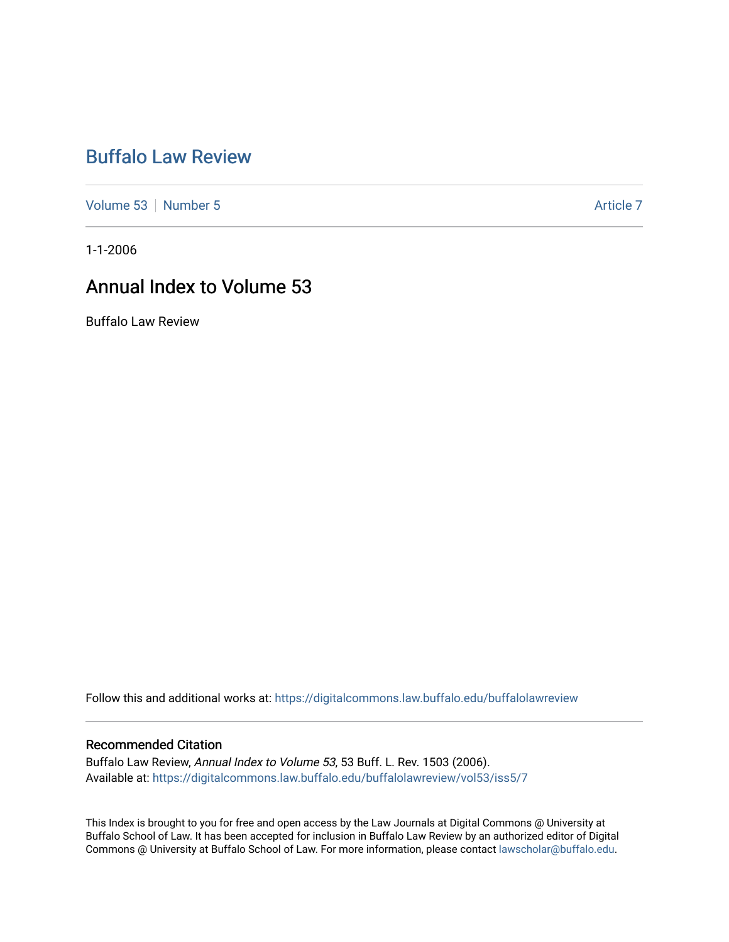## [Buffalo Law Review](https://digitalcommons.law.buffalo.edu/buffalolawreview)

[Volume 53](https://digitalcommons.law.buffalo.edu/buffalolawreview/vol53) [Number 5](https://digitalcommons.law.buffalo.edu/buffalolawreview/vol53/iss5) Article 7

1-1-2006

## Annual Index to Volume 53

Buffalo Law Review

Follow this and additional works at: [https://digitalcommons.law.buffalo.edu/buffalolawreview](https://digitalcommons.law.buffalo.edu/buffalolawreview?utm_source=digitalcommons.law.buffalo.edu%2Fbuffalolawreview%2Fvol53%2Fiss5%2F7&utm_medium=PDF&utm_campaign=PDFCoverPages) 

#### Recommended Citation

Buffalo Law Review, Annual Index to Volume 53, 53 Buff. L. Rev. 1503 (2006). Available at: [https://digitalcommons.law.buffalo.edu/buffalolawreview/vol53/iss5/7](https://digitalcommons.law.buffalo.edu/buffalolawreview/vol53/iss5/7?utm_source=digitalcommons.law.buffalo.edu%2Fbuffalolawreview%2Fvol53%2Fiss5%2F7&utm_medium=PDF&utm_campaign=PDFCoverPages) 

This Index is brought to you for free and open access by the Law Journals at Digital Commons @ University at Buffalo School of Law. It has been accepted for inclusion in Buffalo Law Review by an authorized editor of Digital Commons @ University at Buffalo School of Law. For more information, please contact [lawscholar@buffalo.edu](mailto:lawscholar@buffalo.edu).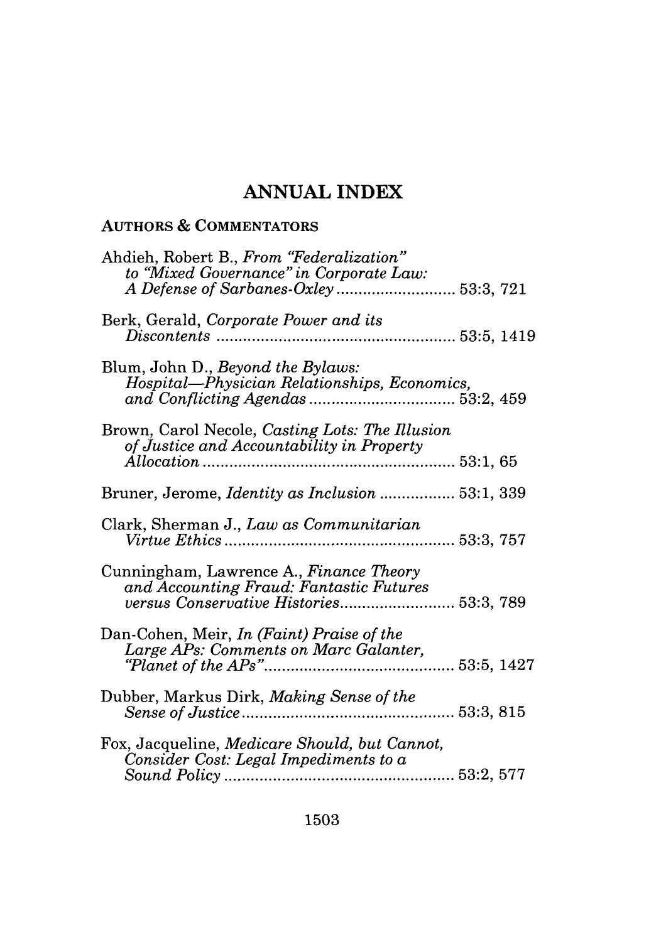# **ANNUAL INDEX**

### **AUTHORS &** COMMENTATORS

| Ahdieh, Robert B., From "Federalization"<br>to "Mixed Governance" in Corporate Law:                                           |  |
|-------------------------------------------------------------------------------------------------------------------------------|--|
| Berk, Gerald, Corporate Power and its<br>$Discontents \, 33:5, \, 1419$                                                       |  |
| Blum, John D., Beyond the Bylaws:<br>Hospital-Physician Relationships, Economics,                                             |  |
| Brown, Carol Necole, Casting Lots: The Illusion<br>of Justice and Accountability in Property                                  |  |
| Bruner, Jerome, <i>Identity as Inclusion</i> 53:1, 339                                                                        |  |
| Clark, Sherman J., Law as Communitarian                                                                                       |  |
| Cunningham, Lawrence A., Finance Theory<br>and Accounting Fraud: Fantastic Futures<br>versus Conservative Histories 53:3, 789 |  |
| Dan-Cohen, Meir, In (Faint) Praise of the<br>Large APs: Comments on Marc Galanter,                                            |  |
| Dubber, Markus Dirk, Making Sense of the<br>53:3, 815                                                                         |  |
| Fox, Jacqueline, Medicare Should, but Cannot,<br>Consider Cost: Legal Impediments to a                                        |  |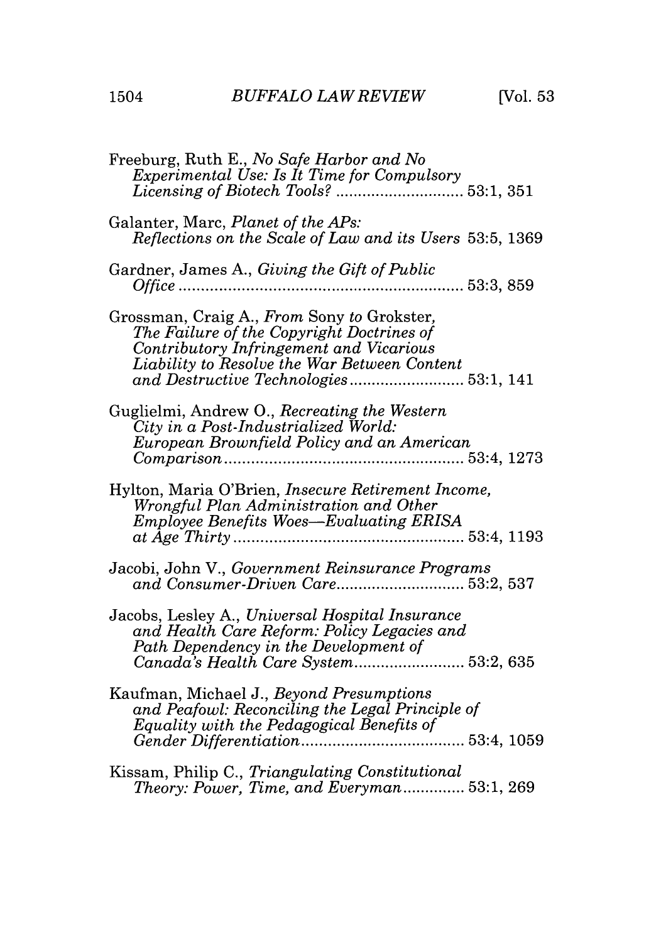$\overline{a}$  $\sim$  $\overline{a}$ 

 $\sim$ 

 $\sim$   $\sim$ 

 $\sim$   $\sim$   $\sim$ 

| Freeburg, Ruth E., No Safe Harbor and No<br>Experimental Use: Is It Time for Compulsory                                                                                            |  |
|------------------------------------------------------------------------------------------------------------------------------------------------------------------------------------|--|
| Galanter, Marc, Planet of the APs:<br>Reflections on the Scale of Law and its Users 53:5, 1369                                                                                     |  |
| Gardner, James A., Giving the Gift of Public<br>53:3, 859<br><i>Office</i>                                                                                                         |  |
| Grossman, Craig A., From Sony to Grokster,<br>The Failure of the Copyright Doctrines of<br>Contributory Infringement and Vicarious<br>Liability to Resolve the War Between Content |  |
| Guglielmi, Andrew O., Recreating the Western<br>City in a Post-Industrialized World:<br>European Brownfield Policy and an American                                                 |  |
| Hylton, Maria O'Brien, <i>Insecure Retirement Income</i> ,<br>Wrongful Plan Administration and Other<br>Employee Benefits Woes-Evaluating ERISA                                    |  |
| Jacobi, John V., Government Reinsurance Programs<br>and Consumer-Driven Care 53:2, 537                                                                                             |  |
| Jacobs, Lesley A., Universal Hospital Insurance<br>and Health Care Reform: Policy Legacies and<br>Path Dependency in the Development of<br>Canada's Health Care System 53:2, 635   |  |
| Kaufman, Michael J., Beyond Presumptions<br>and Peafowl: Reconciling the Legal Principle of<br>Equality with the Pedagogical Benefits of                                           |  |
| Kissam, Philip C., Triangulating Constitutional<br>Theory: Power, Time, and Everyman 53:1, 269                                                                                     |  |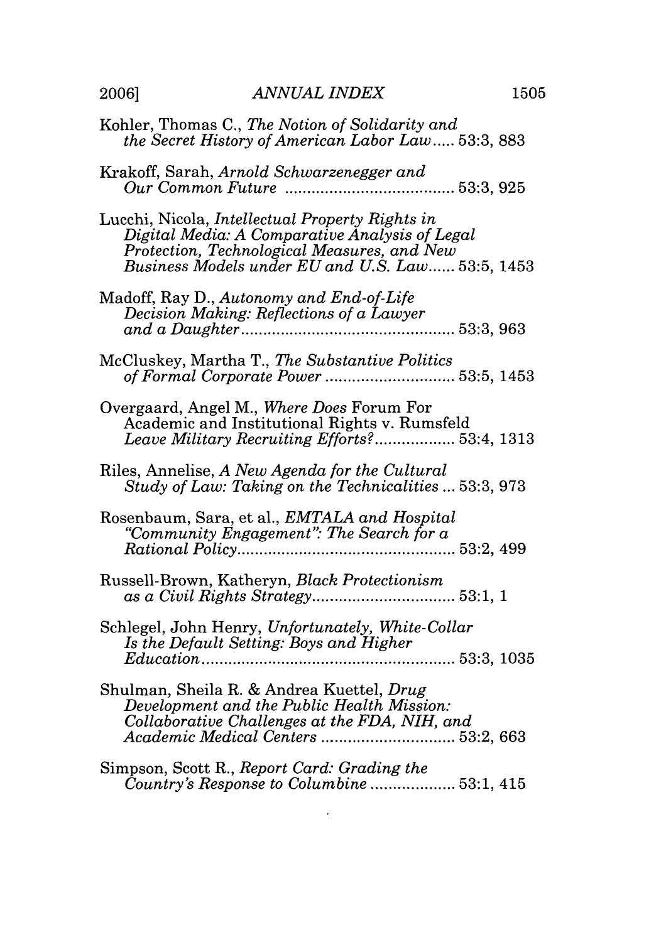| Kohler, Thomas C., The Notion of Solidarity and<br>the Secret History of American Labor Law 53:3, 883                                                                                                |
|------------------------------------------------------------------------------------------------------------------------------------------------------------------------------------------------------|
| Krakoff, Sarah, Arnold Schwarzenegger and                                                                                                                                                            |
| Lucchi, Nicola, Intellectual Property Rights in<br>Digital Media: A Comparative Analysis of Legal<br>Protection, Technological Measures, and New<br>Business Models under EU and U.S. Law 53:5, 1453 |
| Madoff, Ray D., Autonomy and End-of-Life<br>Decision Making: Reflections of a Lawyer                                                                                                                 |
| McCluskey, Martha T., The Substantive Politics                                                                                                                                                       |
| Overgaard, Angel M., Where Does Forum For<br>Academic and Institutional Rights v. Rumsfeld<br>Leave Military Recruiting Efforts? 53:4, 1313                                                          |
| Riles, Annelise, A New Agenda for the Cultural<br>Study of Law: Taking on the Technicalities  53:3, 973                                                                                              |
| Rosenbaum, Sara, et al., EMTALA and Hospital<br>"Community Engagement": The Search for a                                                                                                             |
| Russell-Brown, Katheryn, Black Protectionism                                                                                                                                                         |
| Schlegel, John Henry, Unfortunately, White-Collar<br>Is the Default Setting: Boys and Higher                                                                                                         |
| Shulman, Sheila R. & Andrea Kuettel, Drug<br>Development and the Public Health Mission:<br>Collaborative Challenges at the FDA, NIH, and<br>Academic Medical Centers  53:2, 663                      |
| Simpson, Scott R., Report Card: Grading the<br>Country's Response to Columbine  53:1, 415                                                                                                            |

 $\mathcal{L}^{\text{max}}_{\text{max}}$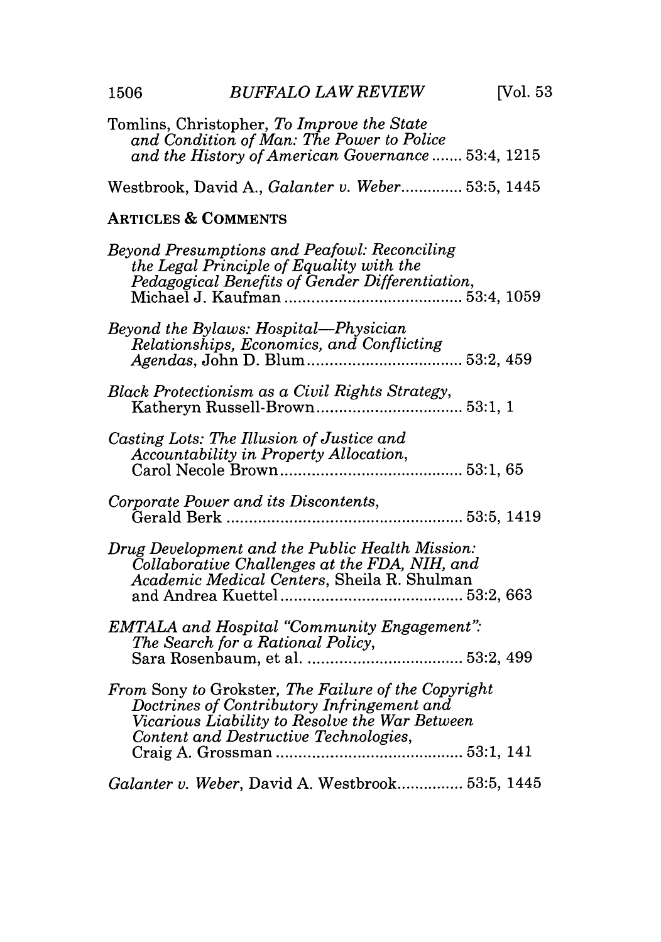| Tomlins, Christopher, To Improve the State<br>and Condition of Man: The Power to Police<br>and the History of American Governance  53:4, 1215                                                |
|----------------------------------------------------------------------------------------------------------------------------------------------------------------------------------------------|
| Westbrook, David A., Galanter v. Weber 53:5, 1445                                                                                                                                            |
| <b>ARTICLES &amp; COMMENTS</b>                                                                                                                                                               |
| Beyond Presumptions and Peafowl: Reconciling<br>the Legal Principle of Equality with the<br>Pedagogical Benefits of Gender Differentiation,                                                  |
| Beyond the Bylaws: Hospital—Physician<br>Relationships, Economics, and Conflicting                                                                                                           |
| Black Protectionism as a Civil Rights Strategy,                                                                                                                                              |
| Casting Lots: The Illusion of Justice and<br>Accountability in Property Allocation,                                                                                                          |
| Corporate Power and its Discontents,                                                                                                                                                         |
| Drug Development and the Public Health Mission:<br>Collaborative Challenges at the FDA, NIH, and<br>Academic Medical Centers, Sheila R. Shulman                                              |
| <b>EMTALA</b> and Hospital "Community Engagement":<br>The Search for a Rational Policy,                                                                                                      |
| From Sony to Grokster, The Failure of the Copyright<br>Doctrines of Contributory Infringement and<br>Vicarious Liability to Resolve the War Between<br>Content and Destructive Technologies, |
| Galanter v. Weber, David A. Westbrook 53:5, 1445                                                                                                                                             |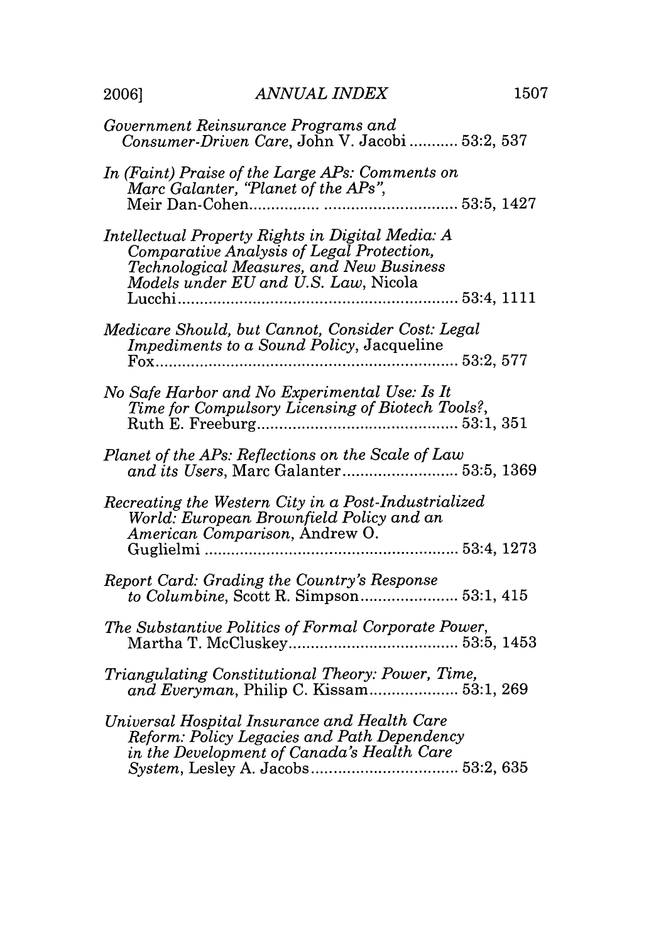| Government Reinsurance Programs and<br>Consumer-Driven Care, John V. Jacobi  53:2, 537                                                                                            |  |
|-----------------------------------------------------------------------------------------------------------------------------------------------------------------------------------|--|
| In (Faint) Praise of the Large APs: Comments on<br>Marc Galanter, "Planet of the APs",<br>53:5, 1427                                                                              |  |
| Intellectual Property Rights in Digital Media: A<br>Comparative Analysis of Legal Protection,<br>Technological Measures, and New Business<br>Models under EU and U.S. Law, Nicola |  |
| Medicare Should, but Cannot, Consider Cost: Legal<br>Impediments to a Sound Policy, Jacqueline                                                                                    |  |
| No Safe Harbor and No Experimental Use: Is It<br>Time for Compulsory Licensing of Biotech Tools?,                                                                                 |  |
| Planet of the APs: Reflections on the Scale of Law<br>and its Users, Marc Galanter 53:5, 1369                                                                                     |  |
| Recreating the Western City in a Post-Industrialized<br>World: European Brownfield Policy and an<br>American Comparison, Andrew O.                                                |  |
| Report Card: Grading the Country's Response<br>to Columbine, Scott R. Simpson 53:1, 415                                                                                           |  |
| The Substantive Politics of Formal Corporate Power,                                                                                                                               |  |
| Triangulating Constitutional Theory: Power, Time,<br>and Everyman, Philip C. Kissam 53:1, 269                                                                                     |  |
| Universal Hospital Insurance and Health Care<br>Reform: Policy Legacies and Path Dependency<br>in the Development of Canada's Health Care                                         |  |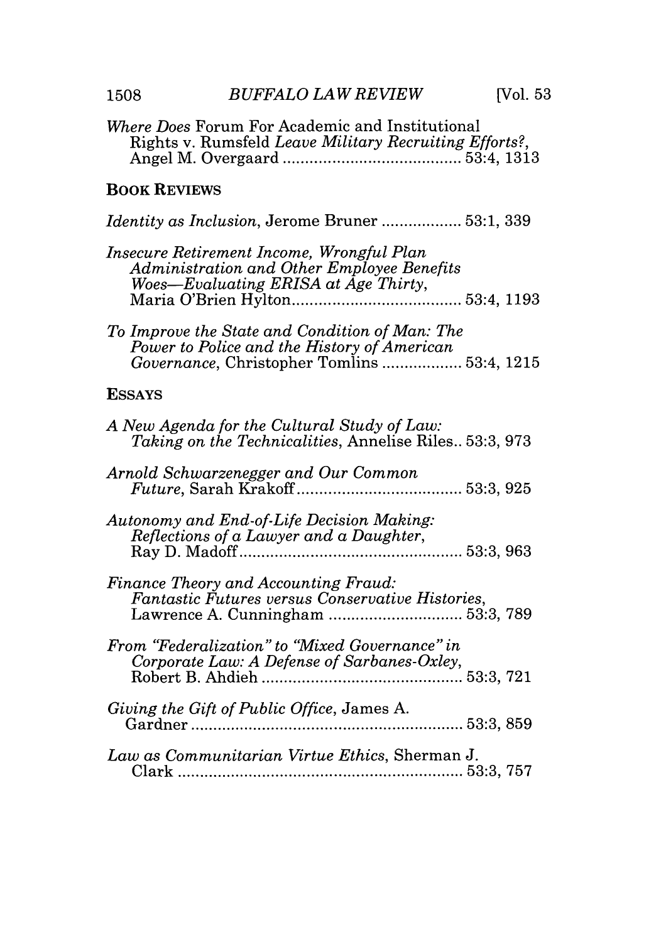| 1508                | <b>BUFFALO LAW REVIEW</b>                                                                                                                    | [Vol. 53]                |
|---------------------|----------------------------------------------------------------------------------------------------------------------------------------------|--------------------------|
|                     | Where Does Forum For Academic and Institutional<br>Rights v. Rumsfeld Leave Military Recruiting Efforts?,                                    |                          |
| <b>BOOK REVIEWS</b> |                                                                                                                                              |                          |
|                     | <i>Identity as Inclusion</i> , Jerome Bruner  53:1, 339                                                                                      |                          |
|                     | Insecure Retirement Income, Wrongful Plan<br>Administration and Other Employee Benefits<br>Woes-Evaluating ERISA at Age Thirty,              |                          |
|                     | To Improve the State and Condition of Man: The<br>Power to Police and the History of American<br>Governance, Christopher Tomlins  53:4, 1215 |                          |
| <b>ESSAYS</b>       |                                                                                                                                              |                          |
|                     | A New Agenda for the Cultural Study of Law:<br>Taking on the Technicalities, Annelise Riles. 53:3, 973                                       |                          |
|                     | Arnold Schwarzenegger and Our Common                                                                                                         |                          |
|                     | Autonomy and End-of-Life Decision Making:<br>Reflections of a Lawyer and a Daughter,                                                         | $\ldots \ldots 53:3,963$ |
|                     | <b>Finance Theory and Accounting Fraud:</b><br>Fantastic Futures versus Conservative Histories,<br>Lawrence A. Cunningham  53:3, 789         |                          |
|                     | From "Federalization" to "Mixed Governance" in<br>Corporate Law: A Defense of Sarbanes-Oxley,                                                |                          |
|                     | Giving the Gift of Public Office, James A.                                                                                                   |                          |
|                     | Law as Communitarian Virtue Ethics, Sherman J.                                                                                               |                          |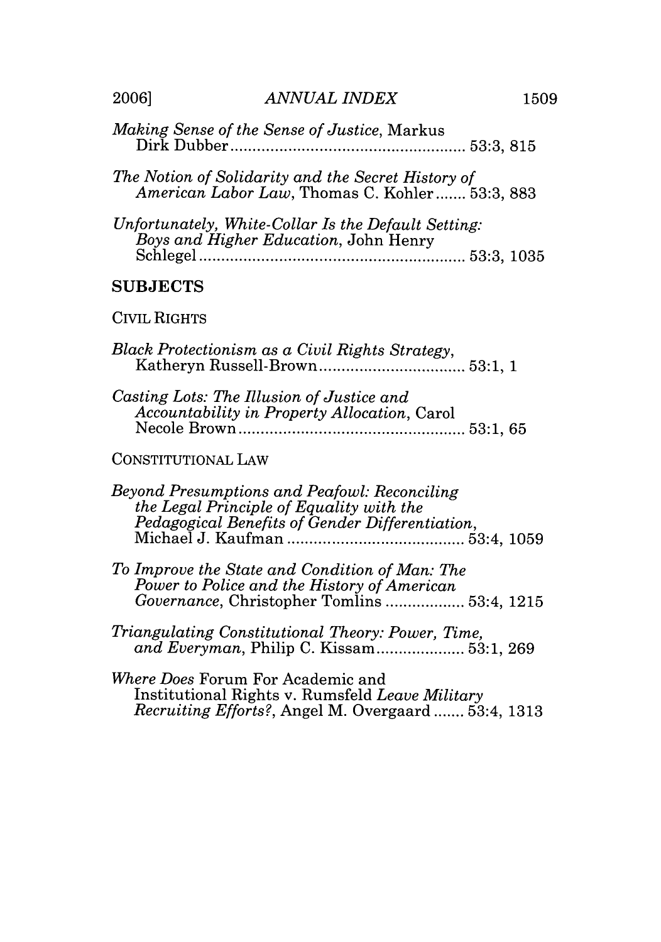- The Notion of Solidarity and the Secret History of American Labor Law, Thomas C. Kohler....... 53:3, 883
- Unfortunately. White-Collar Is the Default Setting: Boys and Higher Education, John Henry

#### **SUBJECTS**

#### **CIVIL RIGHTS**

| Black Protectionism as a Civil Rights Strategy, |  |
|-------------------------------------------------|--|
|                                                 |  |

Casting Lots: The Illusion of Justice and Accountability in Property Allocation, Carol 

#### CONSTITUTIONAL LAW

| Beyond Presumptions and Peafowl: Reconciling    |  |
|-------------------------------------------------|--|
| the Legal Principle of Equality with the        |  |
| Pedagogical Benefits of Gender Differentiation, |  |
|                                                 |  |

- To Improve the State and Condition of Man: The Power to Police and the History of American
- Triangulating Constitutional Theory: Power, Time,

Where Does Forum For Academic and Institutional Rights v. Rumsfeld Leave Military *Recruiting Efforts?*, Angel M. Overgaard ....... 53:4, 1313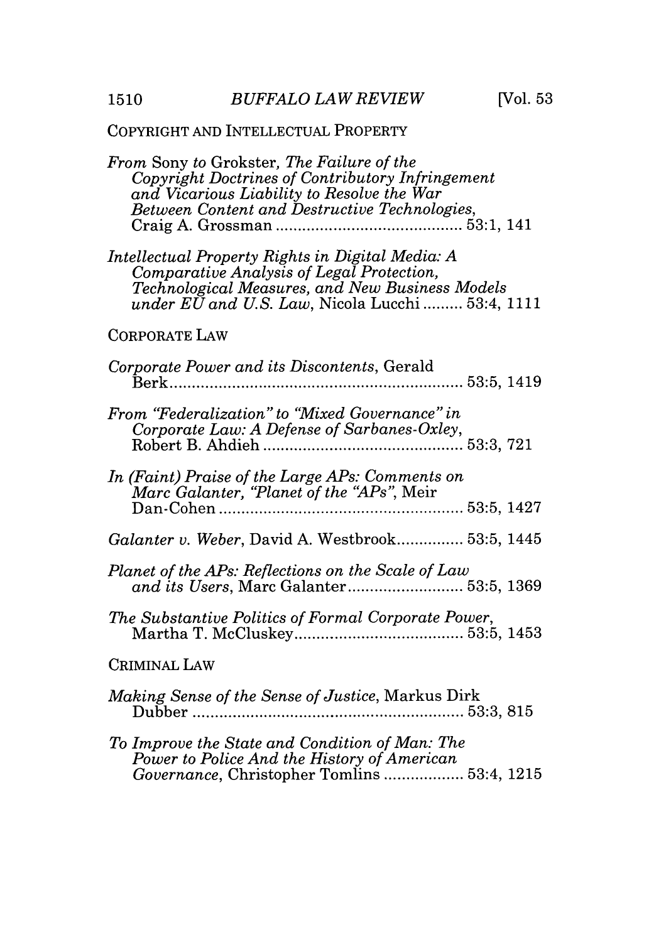### COPYRIGHT AND INTELLECTUAL PROPERTY

| From Sony to Grokster, The Failure of the<br>Copyright Doctrines of Contributory Infringement<br>and Vicarious Liability to Resolve the War<br><b>Between Content and Destructive Technologies,</b>          |
|--------------------------------------------------------------------------------------------------------------------------------------------------------------------------------------------------------------|
| Intellectual Property Rights in Digital Media: A<br>Comparative Analysis of Legal Protection,<br>Technological Measures, and New Business Models<br>under $E\bar{U}$ and U.S. Law, Nicola Lucchi  53:4, 1111 |
| <b>CORPORATE LAW</b>                                                                                                                                                                                         |
| Corporate Power and its Discontents, Gerald                                                                                                                                                                  |
| From "Federalization" to "Mixed Governance" in                                                                                                                                                               |
| In (Faint) Praise of the Large APs: Comments on<br>Marc Galanter, "Planet of the "APs", Meir                                                                                                                 |
| Galanter v. Weber, David A. Westbrook 53:5, 1445                                                                                                                                                             |
| Planet of the APs: Reflections on the Scale of Law<br>and its Users, Marc Galanter 53:5, 1369                                                                                                                |
| The Substantive Politics of Formal Corporate Power,                                                                                                                                                          |
| CRIMINAL LAW                                                                                                                                                                                                 |
| Making Sense of the Sense of Justice, Markus Dirk<br>Dubber<br>53:3, 815                                                                                                                                     |
| To Improve the State and Condition of Man: The<br>Power to Police And the History of American<br>Governance, Christopher Tomlins  53:4, 1215                                                                 |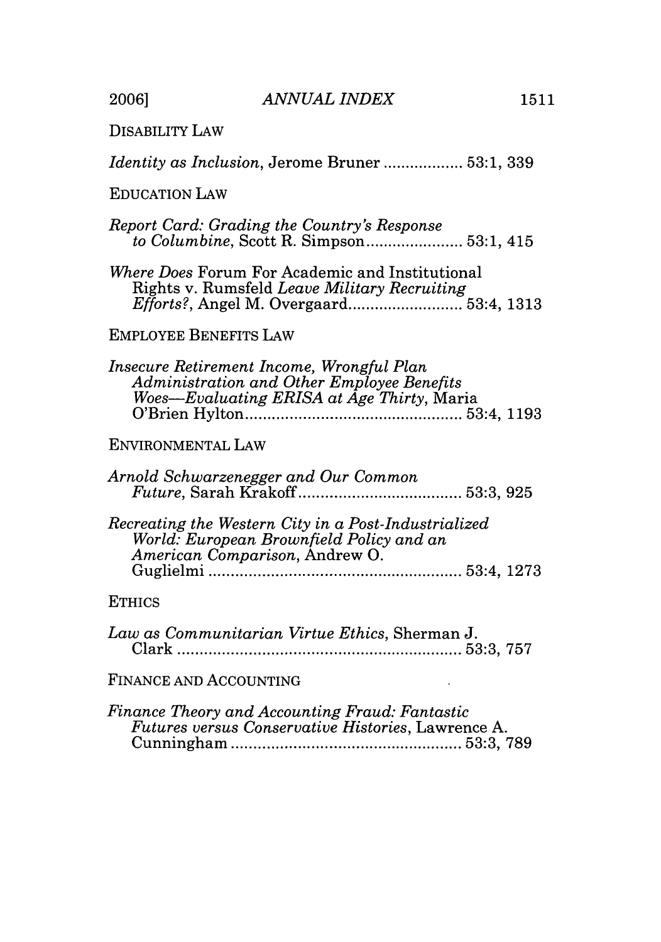2006]

**DISABILITY LAW** 

| <i>Identity as Inclusion, Jerome Bruner </i> 53:1, 339 |  |  |
|--------------------------------------------------------|--|--|
|--------------------------------------------------------|--|--|

#### **EDUCATION LAW**

| Report Card: Grading the Country's Response                                                                                           |  |
|---------------------------------------------------------------------------------------------------------------------------------------|--|
| <i>Where Does</i> Forum For Academic and Institutional<br>Rights v. Rumsfeld Leave Military Recruiting                                |  |
| <b>EMPLOYEE BENEFITS LAW</b>                                                                                                          |  |
| Insecure Retirement Income, Wrongful Plan<br>Administration and Other Employee Benefits<br>Woes-Evaluating ERISA at Age Thirty, Maria |  |
| ENVIRONMENTAL LAW                                                                                                                     |  |
| Arnold Schwarzenegger and Our Common                                                                                                  |  |
| Recreating the Western City in a Post-Industrialized<br>World: European Brownfield Policy and an<br>American Comparison, Andrew O.    |  |
| <b>ETHICS</b>                                                                                                                         |  |
| Law as Communitarian Virtue Ethics, Sherman J.                                                                                        |  |

FINANCE AND ACCOUNTING

 $\mathcal{L}$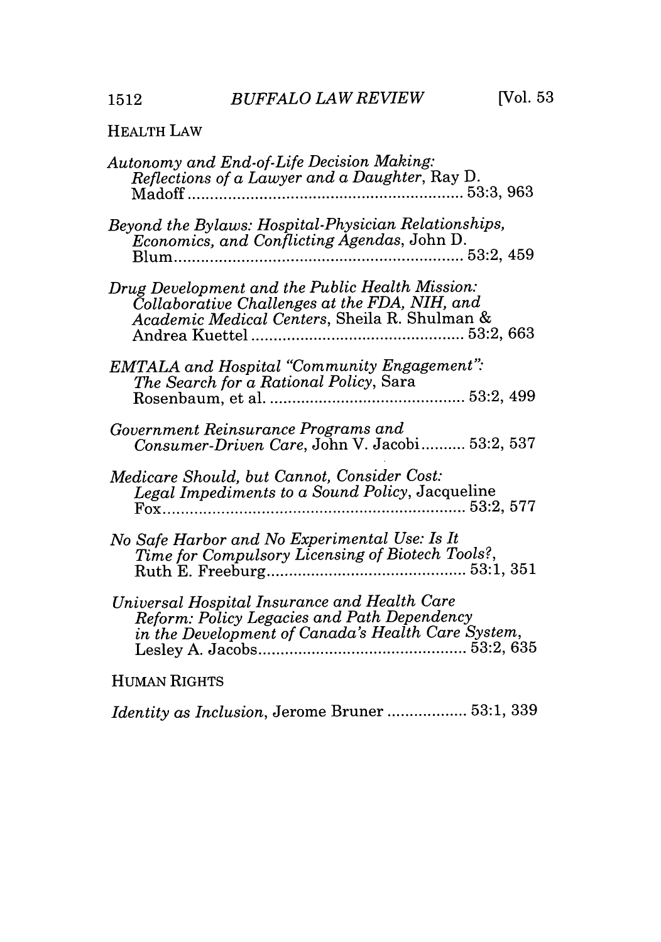### HEALTH LAW

| Autonomy and End-of-Life Decision Making:<br>Reflections of a Lawyer and a Daughter, Ray D.                                                       |
|---------------------------------------------------------------------------------------------------------------------------------------------------|
| Beyond the Bylaws: Hospital-Physician Relationships,<br>Economics, and Conflicting Agendas, John D.                                               |
| Drug Development and the Public Health Mission:<br>Collaborative Challenges at the FDA, NIH, and<br>Academic Medical Centers, Sheila R. Shulman & |
| <b>EMTALA</b> and Hospital "Community Engagement":<br>The Search for a Rational Policy, Sara                                                      |
| Government Reinsurance Programs and<br>Consumer-Driven Care, John V. Jacobi 53:2, 537                                                             |
| Medicare Should, but Cannot, Consider Cost:                                                                                                       |
| No Safe Harbor and No Experimental Use: Is It<br>Time for Compulsory Licensing of Biotech Tools?,                                                 |
| Universal Hospital Insurance and Health Care<br>Reform: Policy Legacies and Path Dependency                                                       |
| <b>HUMAN RIGHTS</b>                                                                                                                               |

*Identity as Inclusion,* Jerome Bruner **..................** 53:1, 339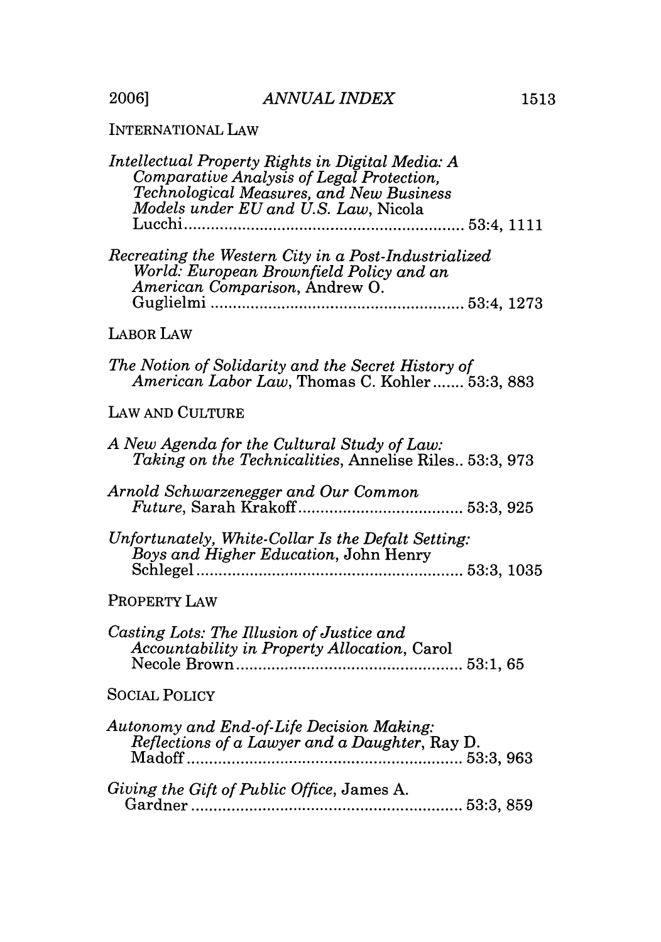2006]

| Intellectual Property Rights in Digital Media: A<br>Comparative Analysis of Legal Protection,<br>Technological Measures, and New Business<br>Models under EU and U.S. Law, Nicola<br>Lucchi |
|---------------------------------------------------------------------------------------------------------------------------------------------------------------------------------------------|
| Recreating the Western City in a Post-Industrialized<br>World: European Brownfield Policy and an<br>American Comparison, Andrew O.                                                          |
| <b>LABOR LAW</b>                                                                                                                                                                            |
| The Notion of Solidarity and the Secret History of<br>American Labor Law, Thomas C. Kohler 53:3, 883                                                                                        |
| LAW AND CULTURE                                                                                                                                                                             |
| A New Agenda for the Cultural Study of Law:<br>Taking on the Technicalities, Annelise Riles., 53:3, 973                                                                                     |
| Arnold Schwarzenegger and Our Common                                                                                                                                                        |
| Unfortunately, White-Collar Is the Defalt Setting:<br>Boys and Higher Education, John Henry                                                                                                 |
| PROPERTY LAW                                                                                                                                                                                |
| Casting Lots: The Illusion of Justice and<br>Accountability in Property Allocation, Carol                                                                                                   |
| <b>SOCIAL POLICY</b>                                                                                                                                                                        |
| Autonomy and End-of-Life Decision Making:<br>Reflections of a Lawyer and a Daughter, Ray D.                                                                                                 |
| Giving the Gift of Public Office, James A.                                                                                                                                                  |